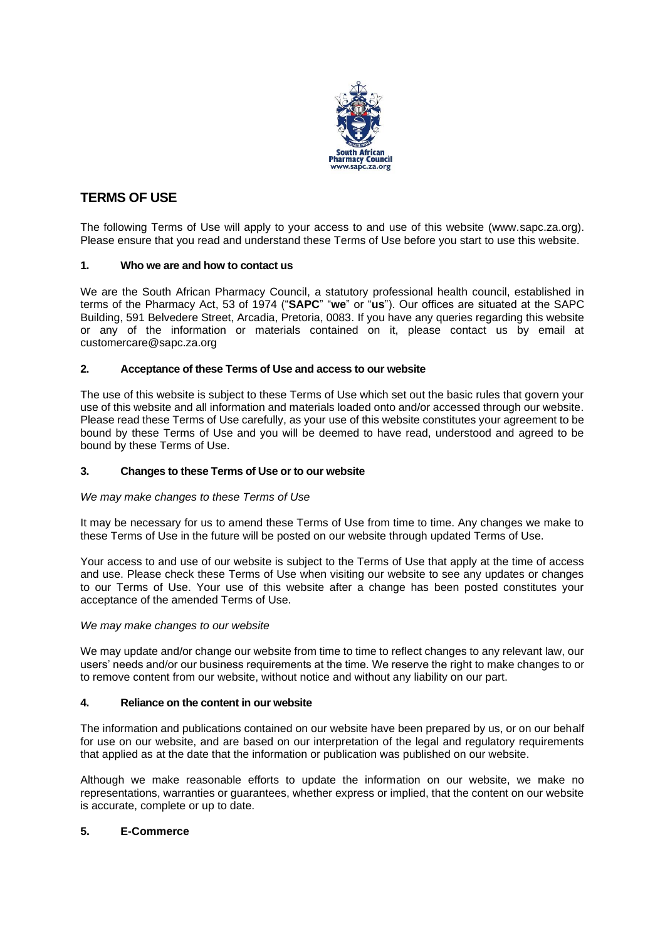

# **TERMS OF USE**

The following Terms of Use will apply to your access to and use of this website (www.sapc.za.org). Please ensure that you read and understand these Terms of Use before you start to use this website.

# **1. Who we are and how to contact us**

We are the South African Pharmacy Council, a statutory professional health council, established in terms of the Pharmacy Act, 53 of 1974 ("**SAPC**" "**we**" or "**us**"). Our offices are situated at the SAPC Building, 591 Belvedere Street, Arcadia, Pretoria, 0083. If you have any queries regarding this website or any of the information or materials contained on it, please contact us by email at [customercare@sapc.za.org](mailto:customercare@sapc.za.org)

# **2. Acceptance of these Terms of Use and access to our website**

The use of this website is subject to these Terms of Use which set out the basic rules that govern your use of this website and all information and materials loaded onto and/or accessed through our website. Please read these Terms of Use carefully, as your use of this website constitutes your agreement to be bound by these Terms of Use and you will be deemed to have read, understood and agreed to be bound by these Terms of Use.

# **3. Changes to these Terms of Use or to our website**

# *We may make changes to these Terms of Use*

It may be necessary for us to amend these Terms of Use from time to time. Any changes we make to these Terms of Use in the future will be posted on our website through updated Terms of Use.

Your access to and use of our website is subject to the Terms of Use that apply at the time of access and use. Please check these Terms of Use when visiting our website to see any updates or changes to our Terms of Use. Your use of this website after a change has been posted constitutes your acceptance of the amended Terms of Use.

# *We may make changes to our website*

We may update and/or change our website from time to time to reflect changes to any relevant law, our users' needs and/or our business requirements at the time. We reserve the right to make changes to or to remove content from our website, without notice and without any liability on our part.

# **4. Reliance on the content in our website**

The information and publications contained on our website have been prepared by us, or on our behalf for use on our website, and are based on our interpretation of the legal and regulatory requirements that applied as at the date that the information or publication was published on our website.

Although we make reasonable efforts to update the information on our website, we make no representations, warranties or guarantees, whether express or implied, that the content on our website is accurate, complete or up to date.

# **5. E-Commerce**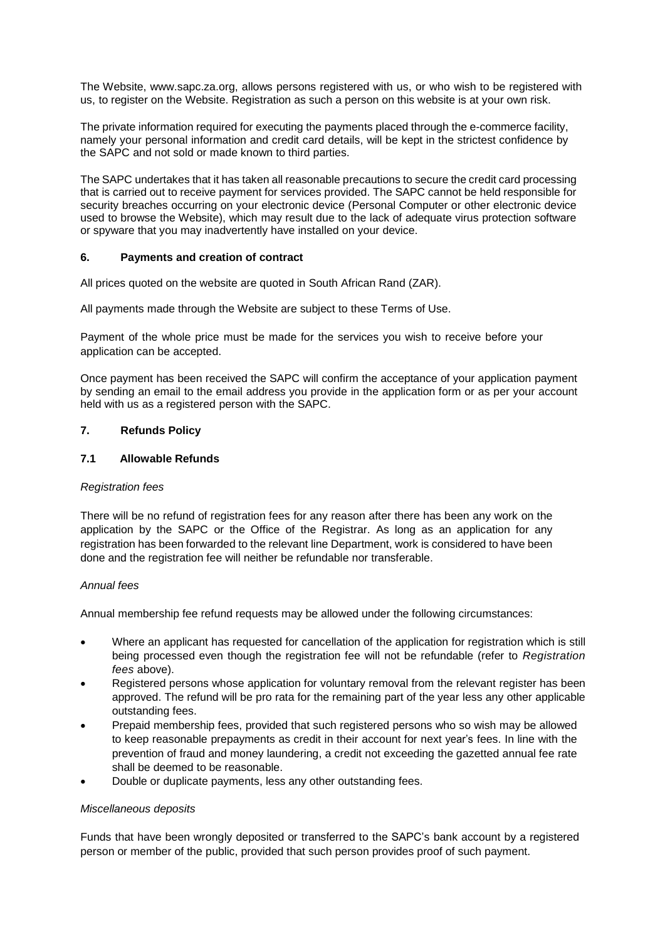The Website, [www.sapc.za.org,](http://www.sapc.za.org/) allows persons registered with us, or who wish to be registered with us, to register on the Website. Registration as such a person on this website is at your own risk.

The private information required for executing the payments placed through the e-commerce facility, namely your personal information and credit card details, will be kept in the strictest confidence by the SAPC and not sold or made known to third parties.

The SAPC undertakes that it has taken all reasonable precautions to secure the credit card processing that is carried out to receive payment for services provided. The SAPC cannot be held responsible for security breaches occurring on your electronic device (Personal Computer or other electronic device used to browse the Website), which may result due to the lack of adequate virus protection software or spyware that you may inadvertently have installed on your device.

### **6. Payments and creation of contract**

All prices quoted on the website are quoted in South African Rand (ZAR).

All payments made through the Website are subject to these Terms of Use.

Payment of the whole price must be made for the services you wish to receive before your application can be accepted.

Once payment has been received the SAPC will confirm the acceptance of your application payment by sending an email to the email address you provide in the application form or as per your account held with us as a registered person with the SAPC.

### **7. Refunds Policy**

# **7.1 Allowable Refunds**

#### *Registration fees*

There will be no refund of registration fees for any reason after there has been any work on the application by the SAPC or the Office of the Registrar. As long as an application for any registration has been forwarded to the relevant line Department, work is considered to have been done and the registration fee will neither be refundable nor transferable.

### *Annual fees*

Annual membership fee refund requests may be allowed under the following circumstances:

- Where an applicant has requested for cancellation of the application for registration which is still being processed even though the registration fee will not be refundable (refer to *Registration fees* above).
- Registered persons whose application for voluntary removal from the relevant register has been approved. The refund will be pro rata for the remaining part of the year less any other applicable outstanding fees.
- Prepaid membership fees, provided that such registered persons who so wish may be allowed to keep reasonable prepayments as credit in their account for next year's fees. In line with the prevention of fraud and money laundering, a credit not exceeding the gazetted annual fee rate shall be deemed to be reasonable.
- Double or duplicate payments, less any other outstanding fees.

#### *Miscellaneous deposits*

Funds that have been wrongly deposited or transferred to the SAPC's bank account by a registered person or member of the public, provided that such person provides proof of such payment.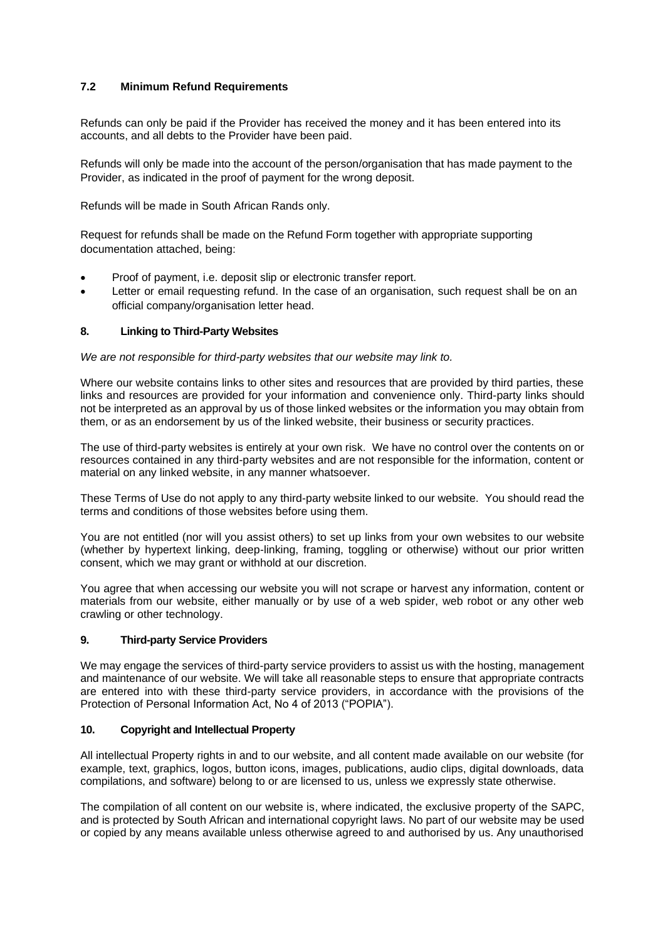# **7.2 Minimum Refund Requirements**

Refunds can only be paid if the Provider has received the money and it has been entered into its accounts, and all debts to the Provider have been paid.

Refunds will only be made into the account of the person/organisation that has made payment to the Provider, as indicated in the proof of payment for the wrong deposit.

Refunds will be made in South African Rands only.

Request for refunds shall be made on the Refund Form together with appropriate supporting documentation attached, being:

- Proof of payment, i.e. deposit slip or electronic transfer report.
- Letter or email requesting refund. In the case of an organisation, such request shall be on an official company/organisation letter head.

### **8. Linking to Third-Party Websites**

*We are not responsible for third-party websites that our website may link to.*

Where our website contains links to other sites and resources that are provided by third parties, these links and resources are provided for your information and convenience only. Third-party links should not be interpreted as an approval by us of those linked websites or the information you may obtain from them, or as an endorsement by us of the linked website, their business or security practices.

The use of third-party websites is entirely at your own risk. We have no control over the contents on or resources contained in any third-party websites and are not responsible for the information, content or material on any linked website, in any manner whatsoever.

These Terms of Use do not apply to any third-party website linked to our website. You should read the terms and conditions of those websites before using them.

You are not entitled (nor will you assist others) to set up links from your own websites to our website (whether by hypertext linking, deep-linking, framing, toggling or otherwise) without our prior written consent, which we may grant or withhold at our discretion.

You agree that when accessing our website you will not scrape or harvest any information, content or materials from our website, either manually or by use of a web spider, web robot or any other web crawling or other technology.

#### **9. Third-party Service Providers**

We may engage the services of third-party service providers to assist us with the hosting, management and maintenance of our website. We will take all reasonable steps to ensure that appropriate contracts are entered into with these third-party service providers, in accordance with the provisions of the Protection of Personal Information Act, No 4 of 2013 ("POPIA").

### **10. Copyright and Intellectual Property**

All intellectual Property rights in and to our website, and all content made available on our website (for example, text, graphics, logos, button icons, images, publications, audio clips, digital downloads, data compilations, and software) belong to or are licensed to us, unless we expressly state otherwise.

The compilation of all content on our website is, where indicated, the exclusive property of the SAPC, and is protected by South African and international copyright laws. No part of our website may be used or copied by any means available unless otherwise agreed to and authorised by us. Any unauthorised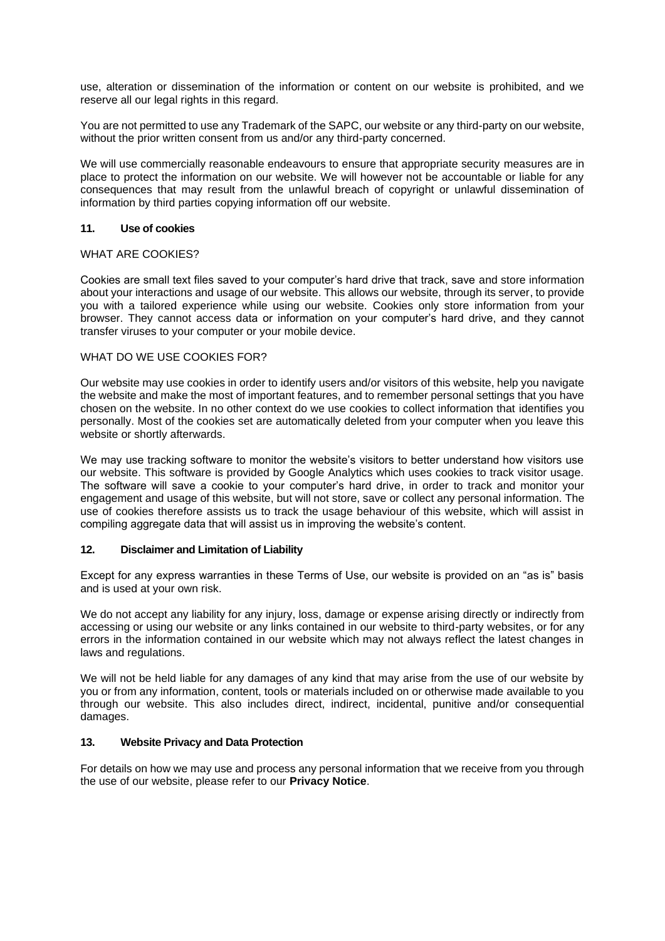use, alteration or dissemination of the information or content on our website is prohibited, and we reserve all our legal rights in this regard.

You are not permitted to use any Trademark of the SAPC, our website or any third-party on our website, without the prior written consent from us and/or any third-party concerned.

We will use commercially reasonable endeavours to ensure that appropriate security measures are in place to protect the information on our website. We will however not be accountable or liable for any consequences that may result from the unlawful breach of copyright or unlawful dissemination of information by third parties copying information off our website.

### **11. Use of cookies**

### WHAT ARE COOKIES?

Cookies are small text files saved to your computer's hard drive that track, save and store information about your interactions and usage of our website. This allows our website, through its server, to provide you with a tailored experience while using our website. Cookies only store information from your browser. They cannot access data or information on your computer's hard drive, and they cannot transfer viruses to your computer or your mobile device.

### WHAT DO WE USE COOKIES FOR?

Our website may use cookies in order to identify users and/or visitors of this website, help you navigate the website and make the most of important features, and to remember personal settings that you have chosen on the website. In no other context do we use cookies to collect information that identifies you personally. Most of the cookies set are automatically deleted from your computer when you leave this website or shortly afterwards.

We may use tracking software to monitor the website's visitors to better understand how visitors use our website. This software is provided by Google Analytics which uses cookies to track visitor usage. The software will save a cookie to your computer's hard drive, in order to track and monitor your engagement and usage of this website, but will not store, save or collect any personal information. The use of cookies therefore assists us to track the usage behaviour of this website, which will assist in compiling aggregate data that will assist us in improving the website's content.

#### **12. Disclaimer and Limitation of Liability**

Except for any express warranties in these Terms of Use, our website is provided on an "as is" basis and is used at your own risk.

We do not accept any liability for any injury, loss, damage or expense arising directly or indirectly from accessing or using our website or any links contained in our website to third-party websites, or for any errors in the information contained in our website which may not always reflect the latest changes in laws and regulations.

We will not be held liable for any damages of any kind that may arise from the use of our website by you or from any information, content, tools or materials included on or otherwise made available to you through our website. This also includes direct, indirect, incidental, punitive and/or consequential damages.

# **13. Website Privacy and Data Protection**

For details on how we may use and process any personal information that we receive from you through the use of our website, please refer to our **[Privacy Notice](https://tuffiassandberg.co.za/privacy-notice/)**.